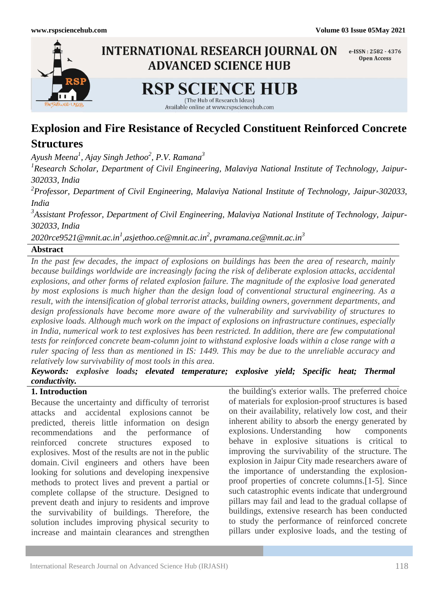

# **Explosion and Fire Resistance of Recycled Constituent Reinforced Concrete**

# **Structures**

*Ayush Meena<sup>1</sup> , Ajay Singh Jethoo<sup>2</sup> , P.V. Ramana<sup>3</sup>*

*1 Research Scholar, Department of Civil Engineering, Malaviya National Institute of Technology, Jaipur-302033, India*

*2 Professor, Department of Civil Engineering, Malaviya National Institute of Technology, Jaipur-302033, India*

*3 Assistant Professor, Department of Civil Engineering, Malaviya National Institute of Technology, Jaipur-302033, India*

[2020rce9521@mnit.ac.in](mailto:2020rce9521@mnit.ac.in)<sup>1</sup>,asjethoo.ce@mnit.ac.in<sup>2</sup>, pvramana.ce@mnit.ac.in<sup>3</sup>

# **Abstract**

*In the past few decades, the impact of explosions on buildings has been the area of research, mainly because buildings worldwide are increasingly facing the risk of deliberate explosion attacks, accidental explosions, and other forms of related explosion failure. The magnitude of the explosive load generated by most explosions is much higher than the design load of conventional structural engineering. As a result, with the intensification of global terrorist attacks, building owners, government departments, and design professionals have become more aware of the vulnerability and survivability of structures to explosive loads. Although much work on the impact of explosions on infrastructure continues, especially in India, numerical work to test explosives has been restricted. In addition, there are few computational tests for reinforced concrete beam-column joint to withstand explosive loads within a close range with a ruler spacing of less than as mentioned in IS: 1449. This may be due to the unreliable accuracy and relatively low survivability of most tools in this area.*

*Keywords: explosive loads; elevated temperature; explosive yield; Specific heat; Thermal conductivity.*

# **1. Introduction**

Because the uncertainty and difficulty of terrorist attacks and accidental explosions cannot be predicted, thereis little information on design recommendations and the performance of reinforced concrete structures exposed to explosives. Most of the results are not in the public domain. Civil engineers and others have been looking for solutions and developing inexpensive methods to protect lives and prevent a partial or complete collapse of the structure. Designed to prevent death and injury to residents and improve the survivability of buildings. Therefore, the solution includes improving physical security to increase and maintain clearances and strengthen

the building's exterior walls. The preferred choice of materials for explosion-proof structures is based on their availability, relatively low cost, and their inherent ability to absorb the energy generated by explosions. Understanding how components behave in explosive situations is critical to improving the survivability of the structure. The explosion in Jaipur City made researchers aware of the importance of understanding the explosionproof properties of concrete columns.[1-5]. Since such catastrophic events indicate that underground pillars may fail and lead to the gradual collapse of buildings, extensive research has been conducted to study the performance of reinforced concrete pillars under explosive loads, and the testing of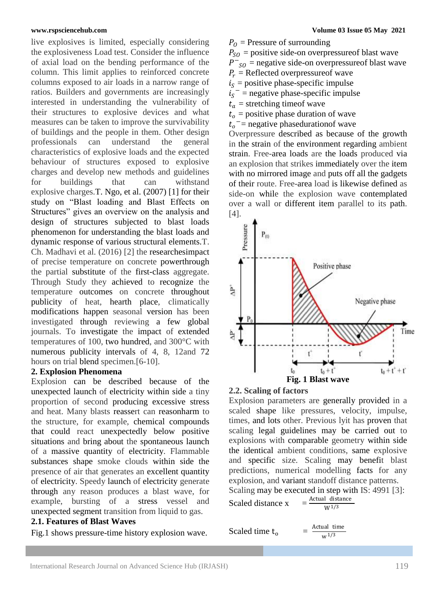live explosives is limited, especially considering the explosiveness Load test. Consider the influence of axial load on the bending performance of the column. This limit applies to reinforced concrete columns exposed to air loads in a narrow range of ratios. Builders and governments are increasingly interested in understanding the vulnerability of their structures to explosive devices and what measures can be taken to improve the survivability of buildings and the people in them. Other design professionals can understand the general characteristics of explosive loads and the expected behaviour of structures exposed to explosive charges and develop new methods and guidelines for buildings that can withstand explosive charges.T. Ngo, et al. (2007) [1] for their study on "Blast loading and Blast Effects on Structures" gives an overview on the analysis and design of structures subjected to blast loads phenomenon for understanding the blast loads and dynamic response of various structural elements.T. Ch. Madhavi et al. (2016) [2] the researchesimpact of precise temperature on concrete powerthrough the partial substitute of the first-class aggregate. Through Study they achieved to recognize the temperature outcomes on concrete throughout publicity of heat, hearth place, climatically modifications happen seasonal version has been investigated through reviewing a few global journals. To investigate the impact of extended temperatures of 100, two hundred, and 300°C with numerous publicity intervals of 4, 8, 12and 72 hours on trial blend specimen.[6-10].

# **2. Explosion Phenomena**

Explosion can be described because of the unexpected launch of electricity within side a tiny proportion of second producing excessive stress and heat. Many blasts reassert can reasonharm to the structure, for example, chemical compounds that could react unexpectedly below positive situations and bring about the spontaneous launch of a massive quantity of electricity. Flammable substances shape smoke clouds within side the presence of air that generates an excellent quantity of electricity. Speedy launch of electricity generate through any reason produces a blast wave, for example, bursting of a stress vessel and unexpected segment transition from liquid to gas.

# **2.1. Features of Blast Waves**

Fig.1 shows pressure-time history explosion wave.

 $P_0$  = Pressure of surrounding  $P_{SO}$  = positive side-on overpressure of blast wave  $P^-$ <sub>SO</sub> = negative side-on overpressure of blast wave  $P_r$  = Reflected overpressure f wave  $i<sub>s</sub>$  = positive phase-specific impulse

- $i_s$ <sup>-</sup> = negative phase-specific impulse
- $t_a$  = stretching timeof wave
- $t<sub>o</sub>$  = positive phase duration of wave
- $t_o$ <sup>-</sup>= negative phasedurationof wave

Overpressure described as because of the growth in the strain of the environment regarding ambient strain. Free-area loads are the loads produced via an explosion that strikes immediately over the item with no mirrored image and puts off all the gadgets of their route. Free-area load is likewise defined as side-on while the explosion wave contemplated over a wall or different item parallel to its path. [4].



# **2.2. Scaling of factors**

Explosion parameters are generally provided in a scaled shape like pressures, velocity, impulse, times, and lots other. Previous lyit has proven that scaling legal guidelines may be carried out to explosions with comparable geometry within side the identical ambient conditions, same explosive and specific size. Scaling may benefit blast predictions, numerical modelling facts for any explosion, and variant standoff distance patterns. Scaling may be executed in step with IS: 4991 [3]:

$$
= \frac{\text{Actual distance}}{W^{1/3}}
$$

Scaled time  $t_0$  $\equiv$ 

$$
\frac{\text{Actual time}}{w^{1/3}}
$$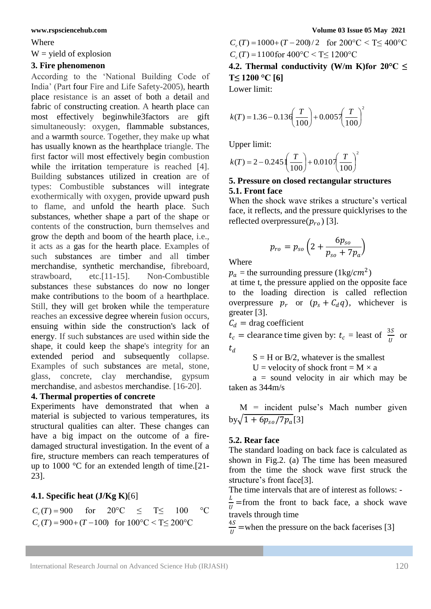Where

### $W =$  yield of explosion

# **3. Fire phenomenon**

According to the "National Building Code of India" (Part four Fire and Life Safety-2005), hearth place resistance is an asset of both a detail and fabric of constructing creation. A hearth place can most effectively beginwhile3factors are gift simultaneously: oxygen, flammable substances, and a warmth source. Together, they make up what has usually known as the hearthplace triangle. The first factor will most effectively begin combustion while the irritation temperature is reached [4]. Building substances utilized in creation are of types: Combustible substances will integrate exothermically with oxygen, provide upward push to flame, and unfold the hearth place. Such substances, whether shape a part of the shape or contents of the construction, burn themselves and grow the depth and boom of the hearth place, i.e., it acts as a gas for the hearth place. Examples of such substances are timber and all timber merchandise, synthetic merchandise, fibreboard, strawboard, etc.[11-15]. Non-Combustible substances these substances do now no longer make contributions to the boom of a hearthplace. Still, they will get broken while the temperature reaches an excessive degree wherein fusion occurs, ensuing within side the construction's lack of energy. If such substances are used within side the shape, it could keep the shape's integrity for an extended period and subsequently collapse. Examples of such substances are metal, stone, glass, concrete, clay merchandise, gypsum merchandise, and asbestos merchandise. [16-20].

### **4. Thermal properties of concrete**

Experiments have demonstrated that when a material is subjected to various temperatures, its structural qualities can alter. These changes can have a big impact on the outcome of a firedamaged structural investigation. In the event of a fire, structure members can reach temperatures of up to 1000 °C for an extended length of time.[21- 23].

# **4.1. Specific heat (J/Kg K)**[6]

for  $20^{\circ}$ C < T <  $100^{\circ}$ C  $C_c(T) = 900 + (T - 100)$  for  $100^{\circ}\text{C} < T \leq 200^{\circ}\text{C}$  $C_c(T) = 900$ 

 $C_c(T) = 1000 + (T - 200)/2$  for  $200^{\circ}\text{C} < T \leq 400^{\circ}\text{C}$  $C_c(T) = 1100$  for  $400^{\circ}\text{C} < T \leq 1200^{\circ}\text{C}$ 

**4.2. Thermal conductivity (W/m K)for**  $20^{\circ}C \leq$ **T≤ 1200 °C [6]**

Lower limit:

$$
k(T) = 1.36 - 0.13 \left(\frac{T}{100}\right) + 0.005 \left(\frac{T}{100}\right)^2
$$

Upper limit:

$$
k(T) = 2 - 0.245 \left(\frac{T}{100}\right) + 0.010 \left(\frac{T}{100}\right)^2
$$

# **5. Pressure on closed rectangular structures 5.1. Front face**

When the shock wave strikes a structure's vertical face, it reflects, and the pressure quicklyrises to the reflected overpressure $(p_{ro})$  [3].

$$
p_{ro}=p_{so}\left(2+\frac{6p_{so}}{p_{so}+7p_a}\right)
$$

Where

 $p_a$  = the surrounding pressure (1kg/cm<sup>2</sup>)

at time t, the pressure applied on the opposite face to the loading direction is called reflection overpressure  $p_r$  or  $(p_s + C_d q)$ , whichever is greater [3].

 $C_d$  = drag coefficient

 $t_c$  = clearance time given by:  $t_c$  = least of  $\frac{3S}{U}$  or  $t_d$ 

 $S = H$  or  $B/2$ , whatever is the smallest

U = velocity of shock front =  $M \times a$ 

 $a =$  sound velocity in air which may be taken as 344m/s

 M = incident pulse"s Mach number given  $by \sqrt{1 + 6p_{so}/7p_a[3]}$ 

# **5.2. Rear face**

The standard loading on back face is calculated as shown in Fig.2. (a) The time has been measured from the time the shock wave first struck the structure's front face[3].

The time intervals that are of interest as follows: -

L  $\frac{L}{U}$  =from the front to back face, a shock wave travels through time

4S  $\frac{15}{U}$  =when the pressure on the back facerises [3]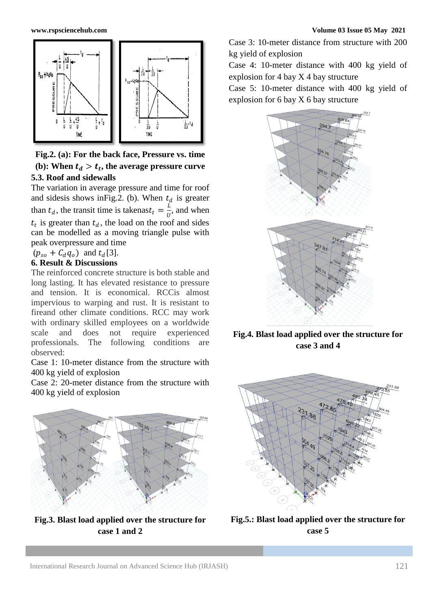

**Fig.2. (a): For the back face, Pressure vs. time** (b): When  $t_d > t_t$ , the average pressure curve **5.3. Roof and sidewalls**

The variation in average pressure and time for roof and sidesis shows in Fig.2. (b). When  $t_d$  is greater than  $t_d$ , the transit time is takenas $t_t = \frac{L}{dt}$  $\frac{E}{U}$ , and when  $t_t$  is greater than  $t_d$ , the load on the roof and sides can be modelled as a moving triangle pulse with peak overpressure and time

### $(p_{so} + C_d q_o)$  and  $t_d$ [3]. **6. Result & Discussions**

The reinforced concrete structure is both stable and long lasting. It has elevated resistance to pressure and tension. It is economical. RCCis almost impervious to warping and rust. It is resistant to fireand other climate conditions. RCC may work with ordinary skilled employees on a worldwide scale and does not require experienced professionals. The following conditions are observed:

Case 1: 10-meter distance from the structure with 400 kg yield of explosion

Case 2: 20-meter distance from the structure with 400 kg yield of explosion



**Fig.3. Blast load applied over the structure for case 1 and 2**

Case 3: 10-meter distance from structure with 200 kg yield of explosion

Case 4: 10-meter distance with 400 kg yield of explosion for 4 bay X 4 bay structure

Case 5: 10-meter distance with 400 kg yield of explosion for 6 bay X 6 bay structure



**Fig.4. Blast load applied over the structure for case 3 and 4**



**Fig.5.: Blast load applied over the structure for case 5**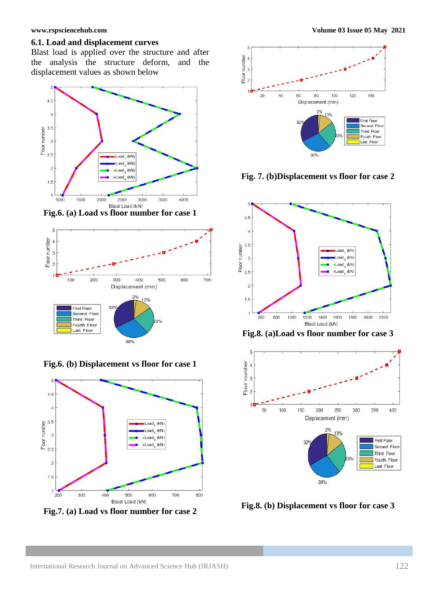### **6.1. Load and displacement curves**

Blast load is applied over the structure and after the analysis the structure deform, and the displacement values as shown below



**Fig.6. (a)** Load vs floor number for case 1



**Fig.6. (b) Displacement vs floor for case 1**



**Fig.7. (a) Load vs floor number for case 2**



**Fig. 7. (b)Displacement vs floor for case 2**



**Fig.8. (a)Load vs floor number for case 3**



**Fig.8. (b) Displacement vs floor for case 3**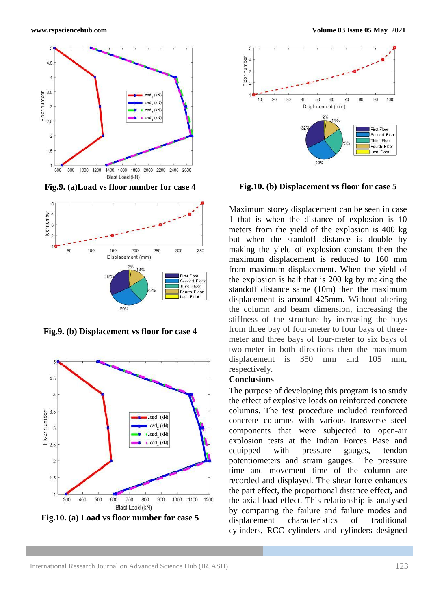

**Fig.9. (a)Load vs floor number for case 4**



**Fig.9. (b) Displacement vs floor for case 4**



**Fig.10. (a) Load vs floor number for case 5**



**Fig.10. (b) Displacement vs floor for case 5**

Maximum storey displacement can be seen in case 1 that is when the distance of explosion is 10 meters from the yield of the explosion is 400 kg but when the standoff distance is double by making the yield of explosion constant then the maximum displacement is reduced to 160 mm from maximum displacement. When the yield of the explosion is half that is 200 kg by making the standoff distance same (10m) then the maximum displacement is around 425mm. Without altering the column and beam dimension, increasing the stiffness of the structure by increasing the bays from three bay of four-meter to four bays of threemeter and three bays of four-meter to six bays of two-meter in both directions then the maximum displacement is 350 mm and 105 mm, respectively.

# **Conclusions**

The purpose of developing this program is to study the effect of explosive loads on reinforced concrete columns. The test procedure included reinforced concrete columns with various transverse steel components that were subjected to open-air explosion tests at the Indian Forces Base and equipped with pressure gauges, tendon potentiometers and strain gauges. The pressure time and movement time of the column are recorded and displayed. The shear force enhances the part effect, the proportional distance effect, and the axial load effect. This relationship is analysed by comparing the failure and failure modes and displacement characteristics of traditional cylinders, RCC cylinders and cylinders designed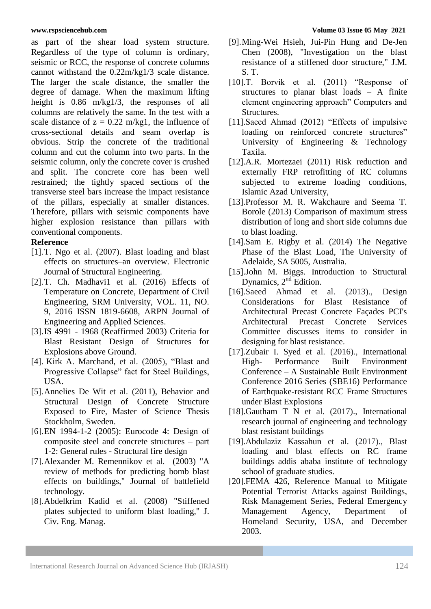as part of the shear load system structure. Regardless of the type of column is ordinary, seismic or RCC, the response of concrete columns cannot withstand the 0.22m/kg1/3 scale distance. The larger the scale distance, the smaller the degree of damage. When the maximum lifting height is 0.86 m/kg1/3, the responses of all columns are relatively the same. In the test with a scale distance of  $z = 0.22$  m/kg1, the influence of cross-sectional details and seam overlap is obvious. Strip the concrete of the traditional column and cut the column into two parts. In the seismic column, only the concrete cover is crushed and split. The concrete core has been well restrained; the tightly spaced sections of the transverse steel bars increase the impact resistance of the pillars, especially at smaller distances. Therefore, pillars with seismic components have higher explosion resistance than pillars with conventional components.

# **Reference**

- [1].T. Ngo et al. (2007). Blast loading and blast effects on structures–an overview. Electronic Journal of Structural Engineering.
- [2].T. Ch. Madhavi1 et al. (2016) Effects of Temperature on Concrete, Department of Civil Engineering, SRM University, VOL. 11, NO. 9, 2016 ISSN 1819-6608, ARPN Journal of Engineering and Applied Sciences.
- [3].IS 4991 1968 (Reaffirmed 2003) Criteria for Blast Resistant Design of Structures for Explosions above Ground.
- [4]. Kirk A. Marchand, et al. (2005), "Blast and Progressive Collapse" fact for Steel Buildings, USA.
- [5].Annelies De Wit et al. (2011), Behavior and Structural Design of Concrete Structure Exposed to Fire, Master of Science Thesis Stockholm, Sweden.
- [6].EN 1994-1-2 (2005): Eurocode 4: Design of composite steel and concrete structures – part 1-2: General rules - Structural fire design
- [7].Alexander M. Remennikov et al. (2003) "A review of methods for predicting bomb blast effects on buildings," Journal of battlefield technology.
- [8].Abdelkrim Kadid et al. (2008) "Stiffened plates subjected to uniform blast loading," J. Civ. Eng. Manag.
- [9].Ming-Wei Hsieh, Jui-Pin Hung and De-Jen Chen (2008), "Investigation on the blast resistance of a stiffened door structure," J.M. S. T.
- [10].T. Borvik et al. (2011) "Response of structures to planar blast loads – A finite element engineering approach" Computers and Structures.
- [11].Saeed Ahmad (2012) "Effects of impulsive loading on reinforced concrete structures" University of Engineering & Technology Taxila.
- [12].A.R. Mortezaei (2011) Risk reduction and externally FRP retrofitting of RC columns subjected to extreme loading conditions, Islamic Azad University,
- [13].Professor M. R. Wakchaure and Seema T. Borole (2013) Comparison of maximum stress distribution of long and short side columns due to blast loading.
- [14].Sam E. Rigby et al. (2014) The Negative Phase of the Blast Load, The University of Adelaide, SA 5005, Australia.
- [15].John M. Biggs. Introduction to Structural Dynamics,  $2<sup>nd</sup>$  Edition.
- [16].Saeed Ahmad et al. (2013)., Design Considerations for Blast Resistance of Architectural Precast Concrete Façades PCI's Architectural Precast Concrete Services Committee discusses items to consider in designing for blast resistance.
- [17].Zubair I. Syed et al. (2016)., International High- Performance Built Environment Conference – A Sustainable Built Environment Conference 2016 Series (SBE16) Performance of Earthquake-resistant RCC Frame Structures under Blast Explosions
- [18].Gautham T N et al. (2017)., International research journal of engineering and technology blast resistant buildings
- [19].Abdulaziz Kassahun et al. (2017)., Blast loading and blast effects on RC frame buildings addis ababa institute of technology school of graduate studies.
- [20].FEMA 426, Reference Manual to Mitigate Potential Terrorist Attacks against Buildings, Risk Management Series, Federal Emergency Management Agency, Department of Homeland Security, USA, and December 2003.